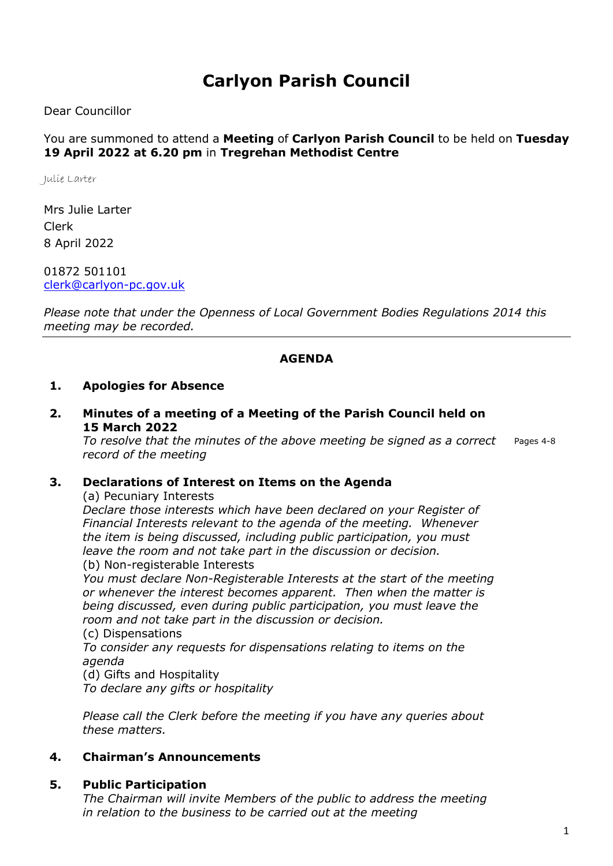# Carlyon Parish Council

Dear Councillor

#### You are summoned to attend a Meeting of Carlyon Parish Council to be held on Tuesday 19 April 2022 at 6.20 pm in Tregrehan Methodist Centre

Julie Larter

Mrs Julie Larter Clerk 8 April 2022

01872 501101 clerk@carlyon-pc.gov.uk

Please note that under the Openness of Local Government Bodies Regulations 2014 this meeting may be recorded.

#### AGENDA

#### 1. Apologies for Absence

2. Minutes of a meeting of a Meeting of the Parish Council held on 15 March 2022

To resolve that the minutes of the above meeting be signed as a correct record of the meeting Pages 4-8

#### 3. Declarations of Interest on Items on the Agenda

(a) Pecuniary Interests

Declare those interests which have been declared on your Register of Financial Interests relevant to the agenda of the meeting. Whenever the item is being discussed, including public participation, you must leave the room and not take part in the discussion or decision.

(b) Non-registerable Interests

You must declare Non-Registerable Interests at the start of the meeting or whenever the interest becomes apparent. Then when the matter is being discussed, even during public participation, you must leave the room and not take part in the discussion or decision.

(c) Dispensations

To consider any requests for dispensations relating to items on the agenda

(d) Gifts and Hospitality

To declare any gifts or hospitality

Please call the Clerk before the meeting if you have any queries about these matters.

#### 4. Chairman's Announcements

#### 5. Public Participation

The Chairman will invite Members of the public to address the meeting in relation to the business to be carried out at the meeting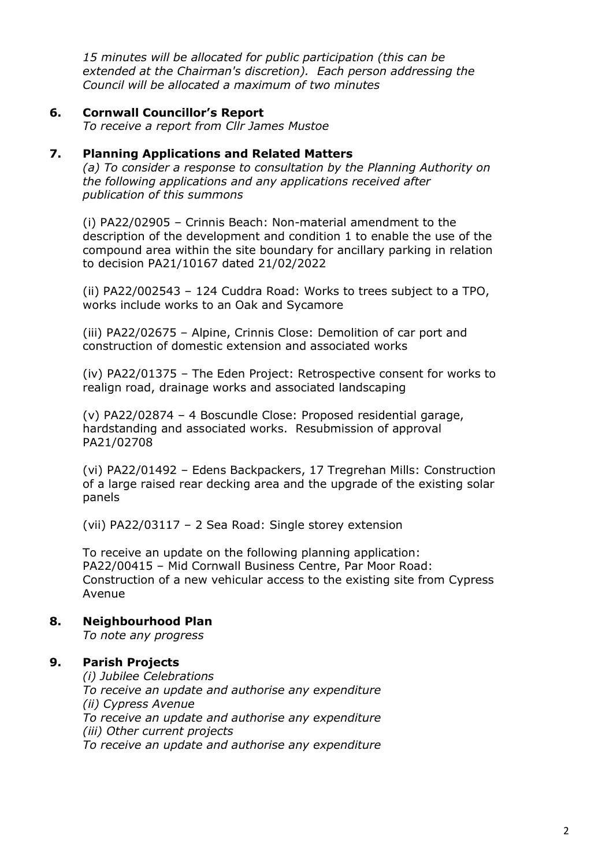15 minutes will be allocated for public participation (this can be extended at the Chairman's discretion). Each person addressing the Council will be allocated a maximum of two minutes

#### 6. Cornwall Councillor's Report

To receive a report from Cllr James Mustoe

#### 7. Planning Applications and Related Matters

(a) To consider a response to consultation by the Planning Authority on the following applications and any applications received after publication of this summons

(i) PA22/02905 – Crinnis Beach: Non-material amendment to the description of the development and condition 1 to enable the use of the compound area within the site boundary for ancillary parking in relation to decision PA21/10167 dated 21/02/2022

(ii) PA22/002543 – 124 Cuddra Road: Works to trees subject to a TPO, works include works to an Oak and Sycamore

(iii) PA22/02675 – Alpine, Crinnis Close: Demolition of car port and construction of domestic extension and associated works

(iv) PA22/01375 – The Eden Project: Retrospective consent for works to realign road, drainage works and associated landscaping

(v) PA22/02874 – 4 Boscundle Close: Proposed residential garage, hardstanding and associated works. Resubmission of approval PA21/02708

(vi) PA22/01492 – Edens Backpackers, 17 Tregrehan Mills: Construction of a large raised rear decking area and the upgrade of the existing solar panels

(vii) PA22/03117 – 2 Sea Road: Single storey extension

To receive an update on the following planning application: PA22/00415 – Mid Cornwall Business Centre, Par Moor Road: Construction of a new vehicular access to the existing site from Cypress Avenue

#### 8. Neighbourhood Plan

To note any progress

#### 9. Parish Projects

(i) Jubilee Celebrations To receive an update and authorise any expenditure (ii) Cypress Avenue To receive an update and authorise any expenditure (iii) Other current projects To receive an update and authorise any expenditure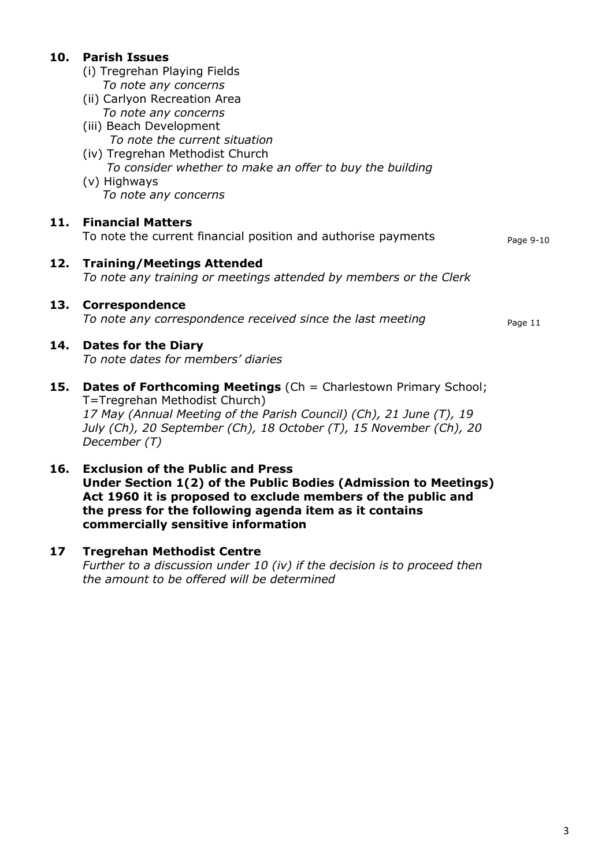|     | 10. Parish Issues<br>(i) Tregrehan Playing Fields<br>To note any concerns<br>(ii) Carlyon Recreation Area<br>To note any concerns<br>(iii) Beach Development<br>To note the current situation<br>(iv) Tregrehan Methodist Church<br>To consider whether to make an offer to buy the building |           |
|-----|----------------------------------------------------------------------------------------------------------------------------------------------------------------------------------------------------------------------------------------------------------------------------------------------|-----------|
|     | (v) Highways<br>To note any concerns                                                                                                                                                                                                                                                         |           |
| 11. | <b>Financial Matters</b><br>To note the current financial position and authorise payments                                                                                                                                                                                                    | Page 9-10 |
| 12. | <b>Training/Meetings Attended</b><br>To note any training or meetings attended by members or the Clerk                                                                                                                                                                                       |           |
| 13. | <b>Correspondence</b><br>To note any correspondence received since the last meeting                                                                                                                                                                                                          | Page 11   |
|     | 14. Dates for the Diary<br>To note dates for members' diaries                                                                                                                                                                                                                                |           |
|     |                                                                                                                                                                                                                                                                                              |           |

- 15. Dates of Forthcoming Meetings (Ch = Charlestown Primary School; T=Tregrehan Methodist Church) 17 May (Annual Meeting of the Parish Council) (Ch), 21 June (T), 19 July (Ch), 20 September (Ch), 18 October (T), 15 November (Ch), 20 December (T)
- 16. Exclusion of the Public and Press Under Section 1(2) of the Public Bodies (Admission to Meetings) Act 1960 it is proposed to exclude members of the public and the press for the following agenda item as it contains commercially sensitive information
- 17 Tregrehan Methodist Centre

Further to a discussion under 10 (iv) if the decision is to proceed then the amount to be offered will be determined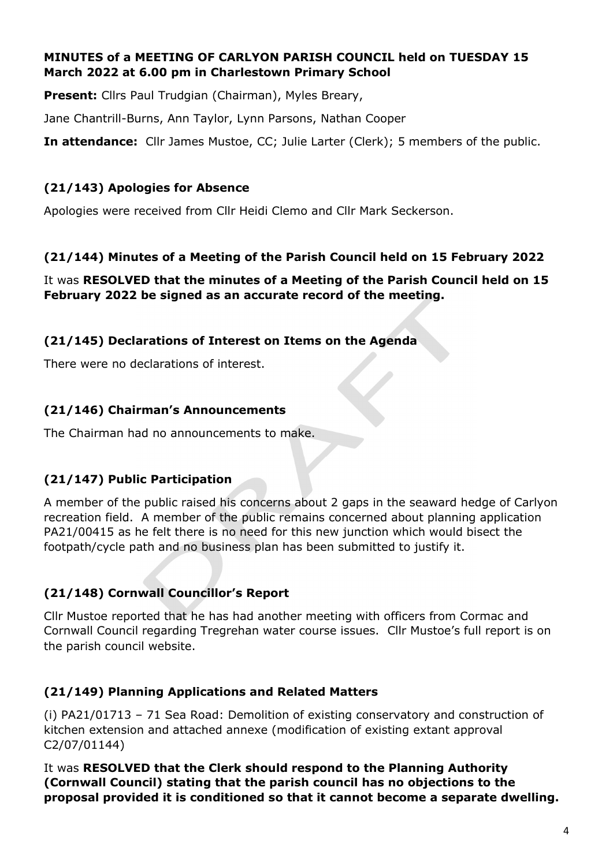### MINUTES of a MEETING OF CARLYON PARISH COUNCIL held on TUESDAY 15 March 2022 at 6.00 pm in Charlestown Primary School

Present: Cllrs Paul Trudgian (Chairman), Myles Breary,

Jane Chantrill-Burns, Ann Taylor, Lynn Parsons, Nathan Cooper

**In attendance:** Cllr James Mustoe, CC; Julie Larter (Clerk); 5 members of the public.

# (21/143) Apologies for Absence

Apologies were received from Cllr Heidi Clemo and Cllr Mark Seckerson.

# (21/144) Minutes of a Meeting of the Parish Council held on 15 February 2022

It was RESOLVED that the minutes of a Meeting of the Parish Council held on 15 February 2022 be signed as an accurate record of the meeting.

# (21/145) Declarations of Interest on Items on the Agenda

There were no declarations of interest.

# (21/146) Chairman's Announcements

The Chairman had no announcements to make.

# (21/147) Public Participation

A member of the public raised his concerns about 2 gaps in the seaward hedge of Carlyon recreation field. A member of the public remains concerned about planning application PA21/00415 as he felt there is no need for this new junction which would bisect the footpath/cycle path and no business plan has been submitted to justify it.

# (21/148) Cornwall Councillor's Report

Cllr Mustoe reported that he has had another meeting with officers from Cormac and Cornwall Council regarding Tregrehan water course issues. Cllr Mustoe's full report is on the parish council website.

# (21/149) Planning Applications and Related Matters

(i) PA21/01713 – 71 Sea Road: Demolition of existing conservatory and construction of kitchen extension and attached annexe (modification of existing extant approval C2/07/01144)

It was RESOLVED that the Clerk should respond to the Planning Authority (Cornwall Council) stating that the parish council has no objections to the proposal provided it is conditioned so that it cannot become a separate dwelling.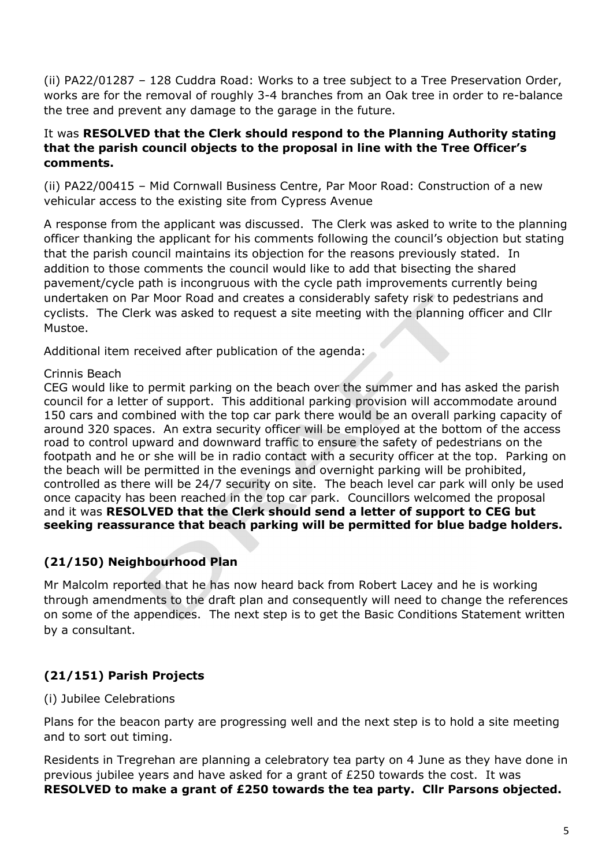(ii) PA22/01287 – 128 Cuddra Road: Works to a tree subject to a Tree Preservation Order, works are for the removal of roughly 3-4 branches from an Oak tree in order to re-balance the tree and prevent any damage to the garage in the future.

### It was RESOLVED that the Clerk should respond to the Planning Authority stating that the parish council objects to the proposal in line with the Tree Officer's comments.

(ii) PA22/00415 – Mid Cornwall Business Centre, Par Moor Road: Construction of a new vehicular access to the existing site from Cypress Avenue

A response from the applicant was discussed. The Clerk was asked to write to the planning officer thanking the applicant for his comments following the council's objection but stating that the parish council maintains its objection for the reasons previously stated. In addition to those comments the council would like to add that bisecting the shared pavement/cycle path is incongruous with the cycle path improvements currently being undertaken on Par Moor Road and creates a considerably safety risk to pedestrians and cyclists. The Clerk was asked to request a site meeting with the planning officer and Cllr Mustoe.

Additional item received after publication of the agenda:

### Crinnis Beach

CEG would like to permit parking on the beach over the summer and has asked the parish council for a letter of support. This additional parking provision will accommodate around 150 cars and combined with the top car park there would be an overall parking capacity of around 320 spaces. An extra security officer will be employed at the bottom of the access road to control upward and downward traffic to ensure the safety of pedestrians on the footpath and he or she will be in radio contact with a security officer at the top. Parking on the beach will be permitted in the evenings and overnight parking will be prohibited, controlled as there will be 24/7 security on site. The beach level car park will only be used once capacity has been reached in the top car park. Councillors welcomed the proposal and it was RESOLVED that the Clerk should send a letter of support to CEG but seeking reassurance that beach parking will be permitted for blue badge holders.

# (21/150) Neighbourhood Plan

Mr Malcolm reported that he has now heard back from Robert Lacey and he is working through amendments to the draft plan and consequently will need to change the references on some of the appendices. The next step is to get the Basic Conditions Statement written by a consultant.

# (21/151) Parish Projects

### (i) Jubilee Celebrations

Plans for the beacon party are progressing well and the next step is to hold a site meeting and to sort out timing.

Residents in Tregrehan are planning a celebratory tea party on 4 June as they have done in previous jubilee years and have asked for a grant of £250 towards the cost. It was RESOLVED to make a grant of £250 towards the tea party. Cllr Parsons objected.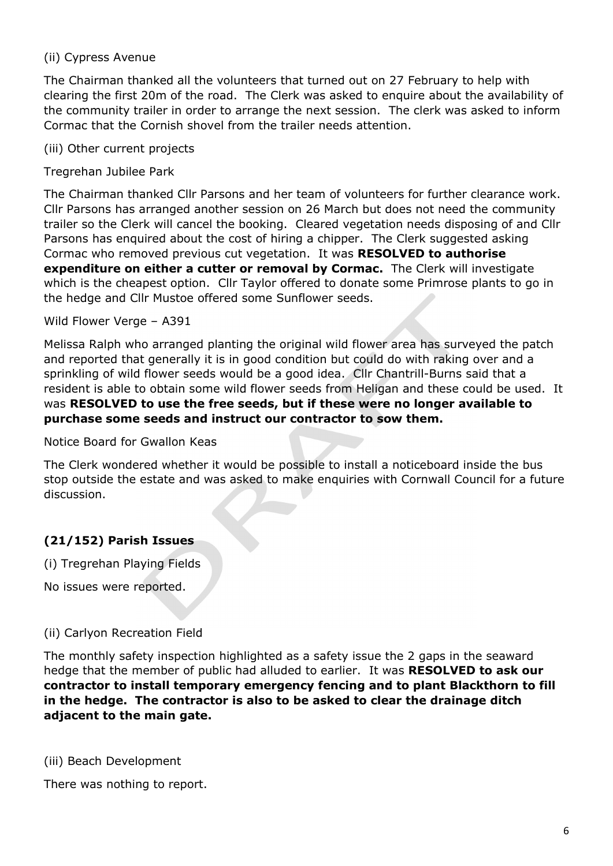### (ii) Cypress Avenue

The Chairman thanked all the volunteers that turned out on 27 February to help with clearing the first 20m of the road. The Clerk was asked to enquire about the availability of the community trailer in order to arrange the next session. The clerk was asked to inform Cormac that the Cornish shovel from the trailer needs attention.

(iii) Other current projects

Tregrehan Jubilee Park

The Chairman thanked Cllr Parsons and her team of volunteers for further clearance work. Cllr Parsons has arranged another session on 26 March but does not need the community trailer so the Clerk will cancel the booking. Cleared vegetation needs disposing of and Cllr Parsons has enquired about the cost of hiring a chipper. The Clerk suggested asking Cormac who removed previous cut vegetation. It was RESOLVED to authorise expenditure on either a cutter or removal by Cormac. The Clerk will investigate which is the cheapest option. Cllr Taylor offered to donate some Primrose plants to go in the hedge and Cllr Mustoe offered some Sunflower seeds.

Wild Flower Verge – A391

Melissa Ralph who arranged planting the original wild flower area has surveyed the patch and reported that generally it is in good condition but could do with raking over and a sprinkling of wild flower seeds would be a good idea. Cllr Chantrill-Burns said that a resident is able to obtain some wild flower seeds from Heligan and these could be used. It was RESOLVED to use the free seeds, but if these were no longer available to purchase some seeds and instruct our contractor to sow them.

Notice Board for Gwallon Keas

The Clerk wondered whether it would be possible to install a noticeboard inside the bus stop outside the estate and was asked to make enquiries with Cornwall Council for a future discussion.

# (21/152) Parish Issues

(i) Tregrehan Playing Fields

No issues were reported.

#### (ii) Carlyon Recreation Field

The monthly safety inspection highlighted as a safety issue the 2 gaps in the seaward hedge that the member of public had alluded to earlier. It was RESOLVED to ask our contractor to install temporary emergency fencing and to plant Blackthorn to fill in the hedge. The contractor is also to be asked to clear the drainage ditch adjacent to the main gate.

(iii) Beach Development

There was nothing to report.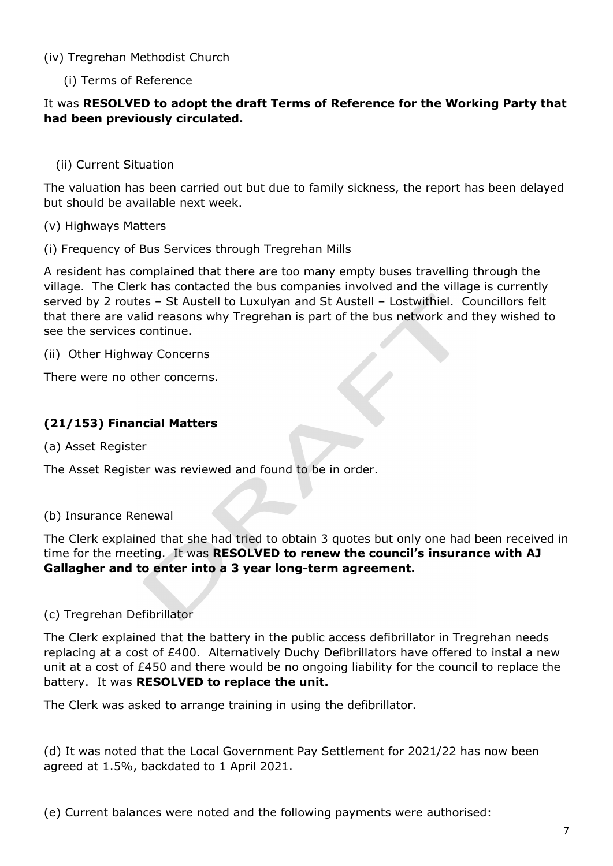### (iv) Tregrehan Methodist Church

(i) Terms of Reference

### It was RESOLVED to adopt the draft Terms of Reference for the Working Party that had been previously circulated.

### (ii) Current Situation

The valuation has been carried out but due to family sickness, the report has been delayed but should be available next week.

### (v) Highways Matters

(i) Frequency of Bus Services through Tregrehan Mills

A resident has complained that there are too many empty buses travelling through the village. The Clerk has contacted the bus companies involved and the village is currently served by 2 routes – St Austell to Luxulyan and St Austell – Lostwithiel. Councillors felt that there are valid reasons why Tregrehan is part of the bus network and they wished to see the services continue.

(ii) Other Highway Concerns

There were no other concerns.

# (21/153) Financial Matters

(a) Asset Register

The Asset Register was reviewed and found to be in order.

### (b) Insurance Renewal

The Clerk explained that she had tried to obtain 3 quotes but only one had been received in time for the meeting. It was RESOLVED to renew the council's insurance with AJ Gallagher and to enter into a 3 year long-term agreement.

#### (c) Tregrehan Defibrillator

The Clerk explained that the battery in the public access defibrillator in Tregrehan needs replacing at a cost of £400. Alternatively Duchy Defibrillators have offered to instal a new unit at a cost of £450 and there would be no ongoing liability for the council to replace the battery. It was RESOLVED to replace the unit.

The Clerk was asked to arrange training in using the defibrillator.

(d) It was noted that the Local Government Pay Settlement for 2021/22 has now been agreed at 1.5%, backdated to 1 April 2021.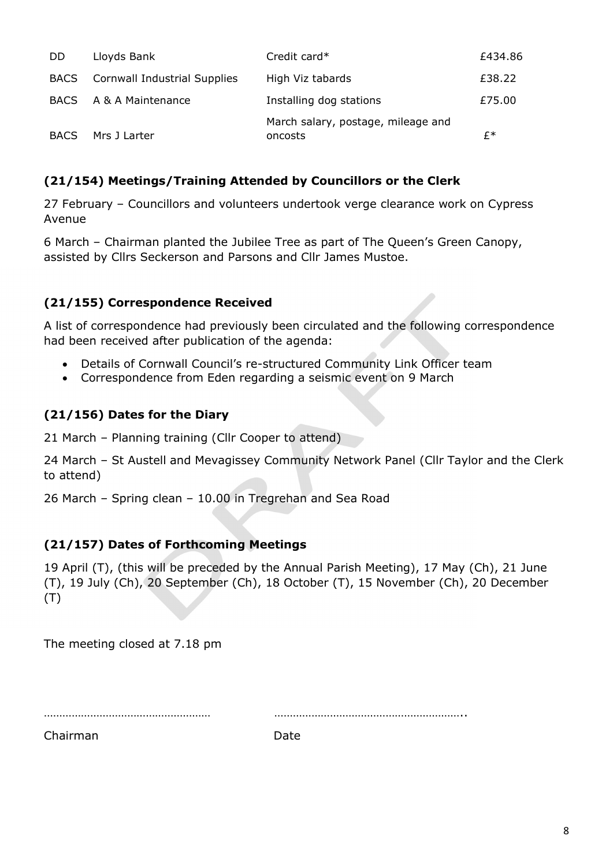| DD          | Lloyds Bank                  | Credit card*                                  | £434.86 |
|-------------|------------------------------|-----------------------------------------------|---------|
| <b>BACS</b> | Cornwall Industrial Supplies | High Viz tabards                              | £38.22  |
| <b>BACS</b> | A & A Maintenance            | Installing dog stations                       | £75.00  |
| <b>BACS</b> | Mrs J Larter                 | March salary, postage, mileage and<br>oncosts | f*      |

# (21/154) Meetings/Training Attended by Councillors or the Clerk

27 February – Councillors and volunteers undertook verge clearance work on Cypress Avenue

6 March – Chairman planted the Jubilee Tree as part of The Queen's Green Canopy, assisted by Cllrs Seckerson and Parsons and Cllr James Mustoe.

### (21/155) Correspondence Received

A list of correspondence had previously been circulated and the following correspondence had been received after publication of the agenda:

- Details of Cornwall Council's re-structured Community Link Officer team
- Correspondence from Eden regarding a seismic event on 9 March

# (21/156) Dates for the Diary

21 March – Planning training (Cllr Cooper to attend)

24 March – St Austell and Mevagissey Community Network Panel (Cllr Taylor and the Clerk to attend)

26 March – Spring clean – 10.00 in Tregrehan and Sea Road

### (21/157) Dates of Forthcoming Meetings

19 April (T), (this will be preceded by the Annual Parish Meeting), 17 May (Ch), 21 June (T), 19 July (Ch), 20 September (Ch), 18 October (T), 15 November (Ch), 20 December (T)

The meeting closed at 7.18 pm

……………………………………………… ……………………………………………………..

Chairman Date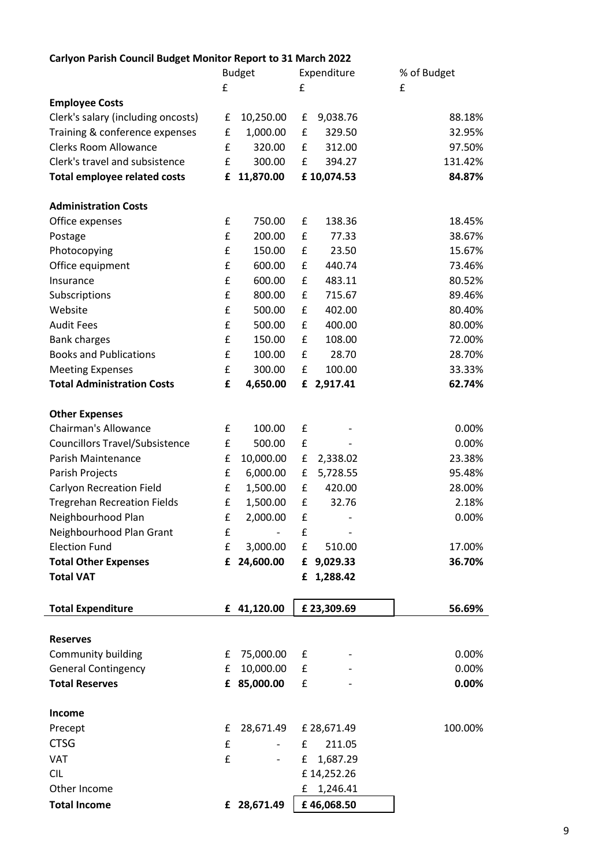# Carlyon Parish Council Budget Monitor Report to 31 March 2022

|                                       |   | <b>Budget</b> |           | Expenditure                  | % of Budget |
|---------------------------------------|---|---------------|-----------|------------------------------|-------------|
|                                       | £ |               | £         |                              | £           |
| <b>Employee Costs</b>                 |   |               |           |                              |             |
| Clerk's salary (including oncosts)    | £ | 10,250.00     | £         | 9,038.76                     | 88.18%      |
| Training & conference expenses        | £ | 1,000.00      | £         | 329.50                       | 32.95%      |
| <b>Clerks Room Allowance</b>          | £ | 320.00        | £         | 312.00                       | 97.50%      |
| Clerk's travel and subsistence        | £ | 300.00        | £         | 394.27                       | 131.42%     |
| <b>Total employee related costs</b>   | £ | 11,870.00     |           | £10,074.53                   | 84.87%      |
| <b>Administration Costs</b>           |   |               |           |                              |             |
| Office expenses                       | £ | 750.00        | £         | 138.36                       | 18.45%      |
| Postage                               | £ | 200.00        | £         | 77.33                        | 38.67%      |
| Photocopying                          | £ | 150.00        | £         | 23.50                        | 15.67%      |
| Office equipment                      | £ | 600.00        | £         | 440.74                       | 73.46%      |
| Insurance                             | £ | 600.00        | £         | 483.11                       | 80.52%      |
| Subscriptions                         | £ | 800.00        | £         | 715.67                       | 89.46%      |
| Website                               | £ | 500.00        | £         | 402.00                       | 80.40%      |
| <b>Audit Fees</b>                     | £ | 500.00        | £         | 400.00                       | 80.00%      |
| <b>Bank charges</b>                   | £ | 150.00        | £         | 108.00                       | 72.00%      |
| <b>Books and Publications</b>         | £ | 100.00        | £         | 28.70                        | 28.70%      |
| <b>Meeting Expenses</b>               | £ | 300.00        | £         | 100.00                       | 33.33%      |
| <b>Total Administration Costs</b>     | £ | 4,650.00      | £         | 2,917.41                     | 62.74%      |
| <b>Other Expenses</b>                 |   |               |           |                              |             |
| <b>Chairman's Allowance</b>           | £ | 100.00        | £         |                              | 0.00%       |
| <b>Councillors Travel/Subsistence</b> | £ | 500.00        | £         |                              | 0.00%       |
| Parish Maintenance                    | £ | 10,000.00     | £         | 2,338.02                     | 23.38%      |
| Parish Projects                       | £ | 6,000.00      | £         | 5,728.55                     | 95.48%      |
| <b>Carlyon Recreation Field</b>       | £ | 1,500.00      | £         | 420.00                       | 28.00%      |
| <b>Tregrehan Recreation Fields</b>    | £ | 1,500.00      | £         | 32.76                        | 2.18%       |
| Neighbourhood Plan                    | £ | 2,000.00      | £         |                              | 0.00%       |
| Neighbourhood Plan Grant              | £ | $\frac{1}{2}$ | £         | $\qquad \qquad \blacksquare$ |             |
| <b>Election Fund</b>                  | £ | 3,000.00      | ${\bf f}$ | 510.00                       | 17.00%      |
| <b>Total Other Expenses</b>           |   | £ 24,600.00   |           | £ 9,029.33                   | 36.70%      |
| <b>Total VAT</b>                      |   |               |           | £ 1,288.42                   |             |
| <b>Total Expenditure</b>              |   | £ 41,120.00   |           | £23,309.69                   | 56.69%      |
|                                       |   |               |           |                              |             |
| <b>Reserves</b>                       |   |               |           |                              |             |
| Community building                    | £ | 75,000.00     | £         |                              | 0.00%       |
| <b>General Contingency</b>            | £ | 10,000.00     | £         |                              | 0.00%       |
| <b>Total Reserves</b>                 |   | £ 85,000.00   | £         |                              | $0.00\%$    |
| Income                                |   |               |           |                              |             |
| Precept                               | £ | 28,671.49     |           | £ 28,671.49                  | 100.00%     |
| <b>CTSG</b>                           | £ |               | £         | 211.05                       |             |
| VAT                                   | £ |               | £         | 1,687.29                     |             |
| <b>CIL</b>                            |   |               |           | £14,252.26                   |             |
| Other Income                          |   |               | £         | 1,246.41                     |             |
| <b>Total Income</b>                   |   | £ 28,671.49   |           | £46,068.50                   |             |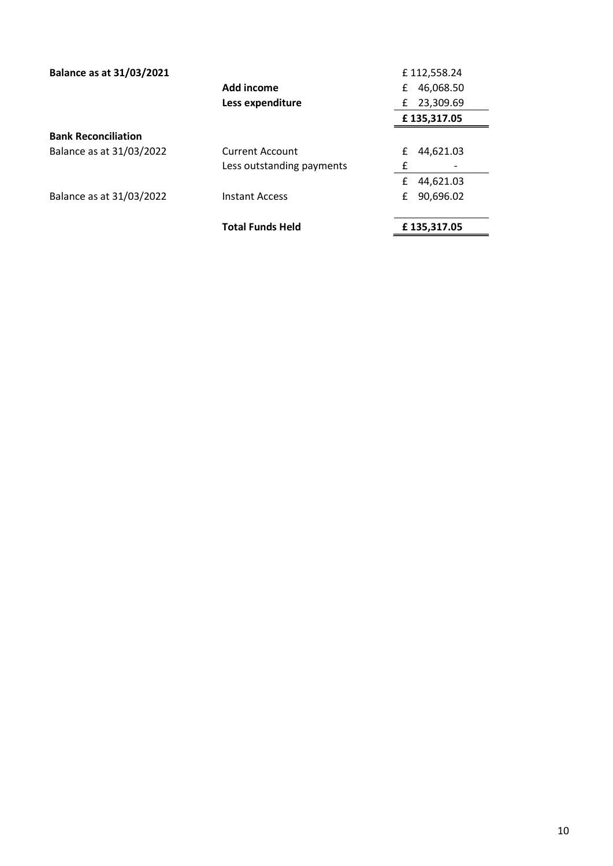| <b>Balance as at 31/03/2021</b> |                           | £112,558.24    |
|---------------------------------|---------------------------|----------------|
|                                 | Add income                | 46,068.50<br>£ |
|                                 | Less expenditure          | 23,309.69<br>£ |
|                                 |                           | £135,317.05    |
| <b>Bank Reconciliation</b>      |                           |                |
| Balance as at 31/03/2022        | <b>Current Account</b>    | 44,621.03<br>£ |
|                                 | Less outstanding payments | £              |
|                                 |                           | 44,621.03<br>£ |
| Balance as at 31/03/2022        | <b>Instant Access</b>     | 90,696.02<br>£ |
|                                 | <b>Total Funds Held</b>   | £135,317.05    |